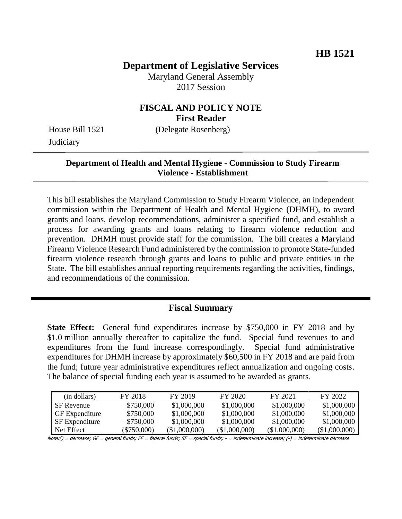# **Department of Legislative Services**

Maryland General Assembly 2017 Session

### **FISCAL AND POLICY NOTE First Reader**

House Bill 1521 (Delegate Rosenberg) **Judiciary** 

#### **Department of Health and Mental Hygiene - Commission to Study Firearm Violence - Establishment**

This bill establishes the Maryland Commission to Study Firearm Violence, an independent commission within the Department of Health and Mental Hygiene (DHMH), to award grants and loans, develop recommendations, administer a specified fund, and establish a process for awarding grants and loans relating to firearm violence reduction and prevention. DHMH must provide staff for the commission. The bill creates a Maryland Firearm Violence Research Fund administered by the commission to promote State-funded firearm violence research through grants and loans to public and private entities in the State. The bill establishes annual reporting requirements regarding the activities, findings, and recommendations of the commission.

## **Fiscal Summary**

**State Effect:** General fund expenditures increase by \$750,000 in FY 2018 and by \$1.0 million annually thereafter to capitalize the fund. Special fund revenues to and expenditures from the fund increase correspondingly. Special fund administrative expenditures for DHMH increase by approximately \$60,500 in FY 2018 and are paid from the fund; future year administrative expenditures reflect annualization and ongoing costs. The balance of special funding each year is assumed to be awarded as grants.

| (in dollars)          | FY 2018     | FY 2019         | FY 2020       | FY 2021       | FY 2022       |
|-----------------------|-------------|-----------------|---------------|---------------|---------------|
| <b>SF</b> Revenue     | \$750,000   | \$1,000,000     | \$1,000,000   | \$1,000,000   | \$1,000,000   |
| <b>GF</b> Expenditure | \$750,000   | \$1,000,000     | \$1,000,000   | \$1,000,000   | \$1,000,000   |
| <b>SF</b> Expenditure | \$750,000   | \$1,000,000     | \$1,000,000   | \$1,000,000   | \$1,000,000   |
| Net Effect            | (\$750,000) | $(\$1,000,000)$ | (\$1,000,000) | (\$1,000,000) | (\$1,000,000) |

Note:() = decrease; GF = general funds; FF = federal funds; SF = special funds; - = indeterminate increase; (-) = indeterminate decrease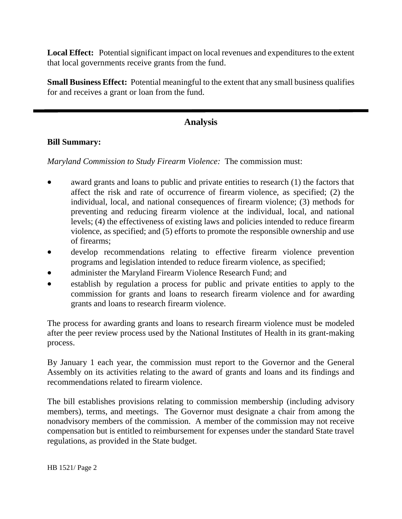**Local Effect:** Potential significant impact on local revenues and expenditures to the extent that local governments receive grants from the fund.

**Small Business Effect:** Potential meaningful to the extent that any small business qualifies for and receives a grant or loan from the fund.

# **Analysis**

#### **Bill Summary:**

*Maryland Commission to Study Firearm Violence:*The commission must:

- award grants and loans to public and private entities to research (1) the factors that affect the risk and rate of occurrence of firearm violence, as specified; (2) the individual, local, and national consequences of firearm violence; (3) methods for preventing and reducing firearm violence at the individual, local, and national levels; (4) the effectiveness of existing laws and policies intended to reduce firearm violence, as specified; and (5) efforts to promote the responsible ownership and use of firearms;
- develop recommendations relating to effective firearm violence prevention programs and legislation intended to reduce firearm violence, as specified;
- administer the Maryland Firearm Violence Research Fund; and
- establish by regulation a process for public and private entities to apply to the commission for grants and loans to research firearm violence and for awarding grants and loans to research firearm violence.

The process for awarding grants and loans to research firearm violence must be modeled after the peer review process used by the National Institutes of Health in its grant-making process.

By January 1 each year, the commission must report to the Governor and the General Assembly on its activities relating to the award of grants and loans and its findings and recommendations related to firearm violence.

The bill establishes provisions relating to commission membership (including advisory members), terms, and meetings. The Governor must designate a chair from among the nonadvisory members of the commission. A member of the commission may not receive compensation but is entitled to reimbursement for expenses under the standard State travel regulations, as provided in the State budget.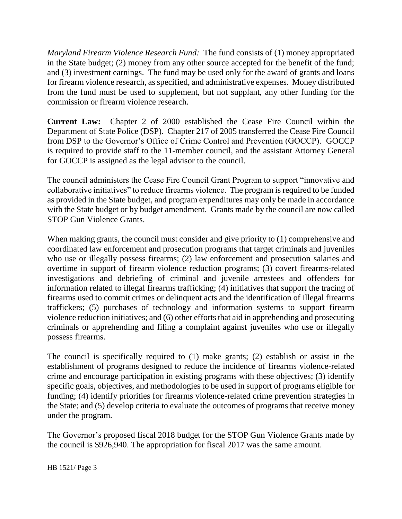*Maryland Firearm Violence Research Fund:* The fund consists of (1) money appropriated in the State budget; (2) money from any other source accepted for the benefit of the fund; and (3) investment earnings. The fund may be used only for the award of grants and loans for firearm violence research, as specified, and administrative expenses. Money distributed from the fund must be used to supplement, but not supplant, any other funding for the commission or firearm violence research.

**Current Law:** Chapter 2 of 2000 established the Cease Fire Council within the Department of State Police (DSP). Chapter 217 of 2005 transferred the Cease Fire Council from DSP to the Governor's Office of Crime Control and Prevention (GOCCP). GOCCP is required to provide staff to the 11-member council, and the assistant Attorney General for GOCCP is assigned as the legal advisor to the council.

The council administers the Cease Fire Council Grant Program to support "innovative and collaborative initiatives" to reduce firearms violence. The program is required to be funded as provided in the State budget, and program expenditures may only be made in accordance with the State budget or by budget amendment. Grants made by the council are now called STOP Gun Violence Grants.

When making grants, the council must consider and give priority to (1) comprehensive and coordinated law enforcement and prosecution programs that target criminals and juveniles who use or illegally possess firearms; (2) law enforcement and prosecution salaries and overtime in support of firearm violence reduction programs; (3) covert firearms-related investigations and debriefing of criminal and juvenile arrestees and offenders for information related to illegal firearms trafficking; (4) initiatives that support the tracing of firearms used to commit crimes or delinquent acts and the identification of illegal firearms traffickers; (5) purchases of technology and information systems to support firearm violence reduction initiatives; and (6) other efforts that aid in apprehending and prosecuting criminals or apprehending and filing a complaint against juveniles who use or illegally possess firearms.

The council is specifically required to (1) make grants; (2) establish or assist in the establishment of programs designed to reduce the incidence of firearms violence-related crime and encourage participation in existing programs with these objectives; (3) identify specific goals, objectives, and methodologies to be used in support of programs eligible for funding; (4) identify priorities for firearms violence-related crime prevention strategies in the State; and (5) develop criteria to evaluate the outcomes of programs that receive money under the program.

The Governor's proposed fiscal 2018 budget for the STOP Gun Violence Grants made by the council is \$926,940. The appropriation for fiscal 2017 was the same amount.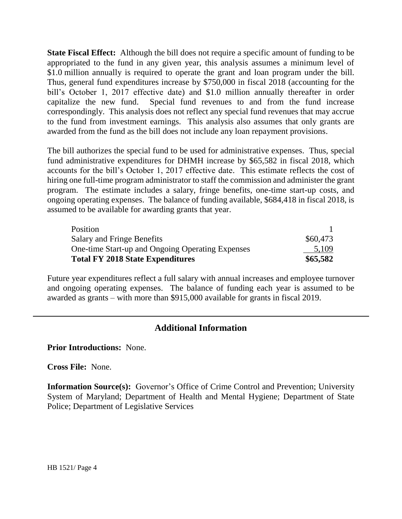**State Fiscal Effect:** Although the bill does not require a specific amount of funding to be appropriated to the fund in any given year, this analysis assumes a minimum level of \$1.0 million annually is required to operate the grant and loan program under the bill. Thus, general fund expenditures increase by \$750,000 in fiscal 2018 (accounting for the bill's October 1, 2017 effective date) and \$1.0 million annually thereafter in order capitalize the new fund. Special fund revenues to and from the fund increase correspondingly. This analysis does not reflect any special fund revenues that may accrue to the fund from investment earnings. This analysis also assumes that only grants are awarded from the fund as the bill does not include any loan repayment provisions.

The bill authorizes the special fund to be used for administrative expenses. Thus, special fund administrative expenditures for DHMH increase by \$65,582 in fiscal 2018, which accounts for the bill's October 1, 2017 effective date. This estimate reflects the cost of hiring one full-time program administrator to staff the commission and administer the grant program. The estimate includes a salary, fringe benefits, one-time start-up costs, and ongoing operating expenses. The balance of funding available, \$684,418 in fiscal 2018, is assumed to be available for awarding grants that year.

| Position                                         |          |
|--------------------------------------------------|----------|
| Salary and Fringe Benefits                       | \$60,473 |
| One-time Start-up and Ongoing Operating Expenses | 5,109    |
| <b>Total FY 2018 State Expenditures</b>          | \$65,582 |

Future year expenditures reflect a full salary with annual increases and employee turnover and ongoing operating expenses. The balance of funding each year is assumed to be awarded as grants – with more than \$915,000 available for grants in fiscal 2019.

#### **Additional Information**

**Prior Introductions:** None.

**Cross File:** None.

**Information Source(s):** Governor's Office of Crime Control and Prevention; University System of Maryland; Department of Health and Mental Hygiene; Department of State Police; Department of Legislative Services